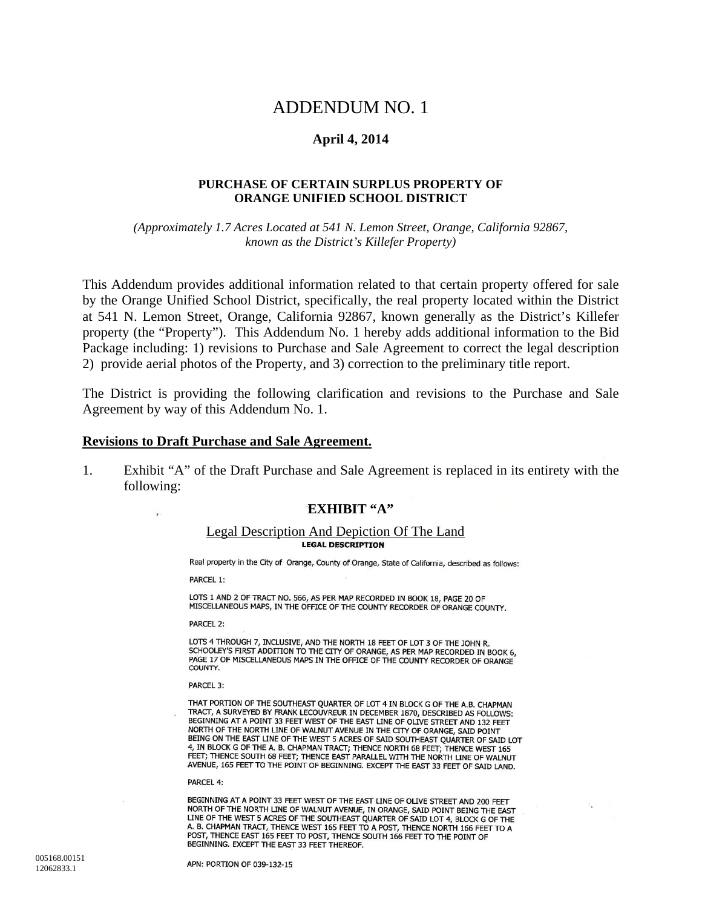# ADDENDUM NO. 1

### **April 4, 2014**

#### **PURCHASE OF CERTAIN SURPLUS PROPERTY OF ORANGE UNIFIED SCHOOL DISTRICT**

*(Approximately 1.7 Acres Located at 541 N. Lemon Street, Orange, California 92867, known as the District's Killefer Property)* 

This Addendum provides additional information related to that certain property offered for sale by the Orange Unified School District, specifically, the real property located within the District at 541 N. Lemon Street, Orange, California 92867, known generally as the District's Killefer property (the "Property"). This Addendum No. 1 hereby adds additional information to the Bid Package including: 1) revisions to Purchase and Sale Agreement to correct the legal description 2) provide aerial photos of the Property, and 3) correction to the preliminary title report.

The District is providing the following clarification and revisions to the Purchase and Sale Agreement by way of this Addendum No. 1.

#### **Revisions to Draft Purchase and Sale Agreement.**

1. Exhibit "A" of the Draft Purchase and Sale Agreement is replaced in its entirety with the following:

#### **EXHIBIT "A"**

# Legal Description And Depiction Of The Land

Real property in the City of Orange, County of Orange, State of California, described as follows:

PARCEL 1:

i.

LOTS 1 AND 2 OF TRACT NO. 566, AS PER MAP RECORDED IN BOOK 18, PAGE 20 OF MISCELLANEOUS MAPS, IN THE OFFICE OF THE COUNTY RECORDER OF ORANGE COUNTY.

**PARCEL 2:** 

LOTS 4 THROUGH 7, INCLUSIVE, AND THE NORTH 18 FEET OF LOT 3 OF THE JOHN R. SCHOOLEY'S FIRST ADDITION TO THE CITY OF ORANGE, AS PER MAP RECORDED IN BOOK 6, PAGE 17 OF MISCELLANEOUS MAPS IN THE OFFICE OF THE COUNTY RECORDER OF ORANGE COUNTY.

PARCEL 3:

THAT PORTION OF THE SOUTHEAST QUARTER OF LOT 4 IN BLOCK G OF THE A.B. CHAPMAN TRACT, A SURVEYED BY FRANK LECOUVREUR IN DECEMBER 1870, DESCRIBED AS FOLLOWS: BEGINNING AT A POINT 33 FEET WEST OF THE EAST LINE OF OLIVE STREET AND 132 FEET NORTH OF THE NORTH LINE OF WALNUT AVENUE IN THE CITY OF ORANGE, SAID POINT BEING ON THE EAST LINE OF THE WEST 5 ACRES OF SAID SOUTHEAST QUARTER OF SAID LOT 4, IN BLOCK G OF THE A. B. CHAPMAN TRACT; THENCE NORTH 68 FEET; THENCE WEST 165 FEET; THENCE SOUTH 68 FEET; THENCE EAST PARALLEL WITH THE NORTH LINE OF WALNUT AVENUE, 165 FEET TO THE POINT OF BEGINNING. EXCEPT THE EAST 33 FEET OF SAID LAND.

#### PARCEL 4:

BEGINNING AT A POINT 33 FEET WEST OF THE EAST LINE OF OLIVE STREET AND 200 FEET NORTH OF THE NORTH LINE OF WALNUT AVENUE, IN ORANGE, SAID POINT BEING THE EAST LINE OF THE WEST 5 ACRES OF THE SOUTHEAST QUARTER OF SAID LOT 4, BLOCK G OF THE A. B. CHAPMAN TRACT, THENCE WEST 165 FEET TO A POST, THENCE NORTH 166 FEET TO A POST, THENCE EAST 165 FEET TO POST, THENCE SOUTH 166 FEET TO THE POINT OF BEGINNING. EXCEPT THE EAST 33 FEET THEREOF.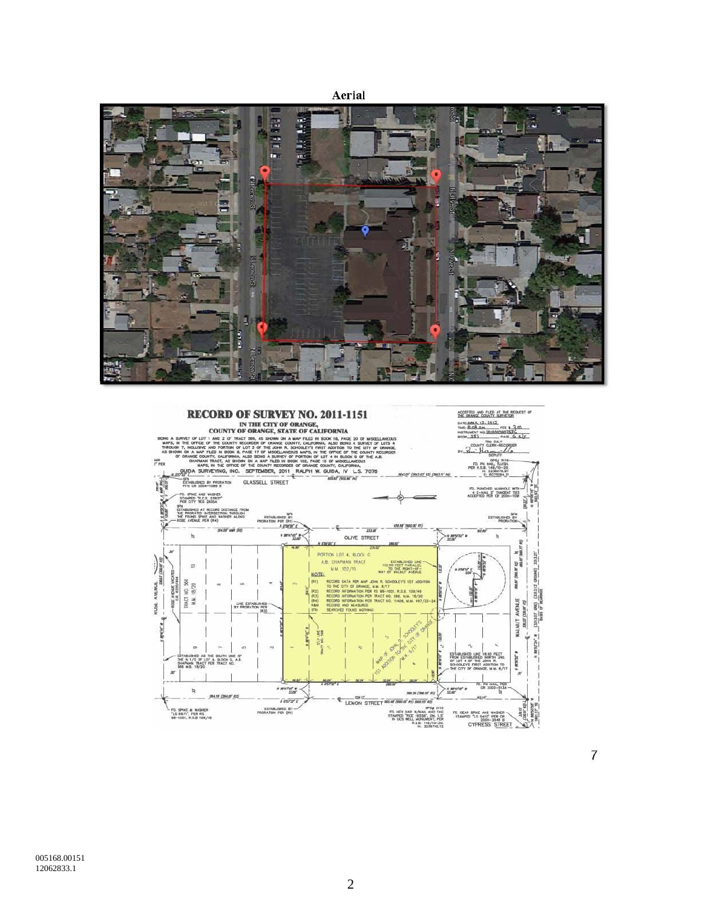Aerial





 $\overline{7}$